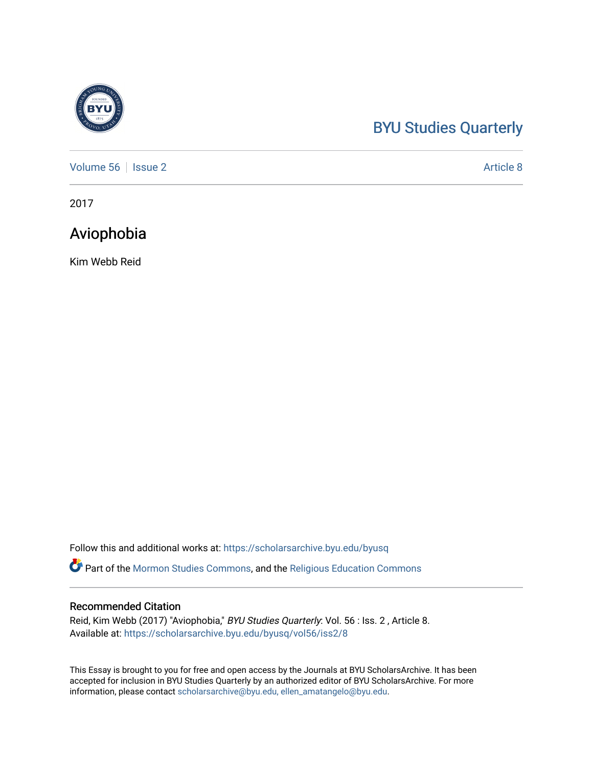# [BYU Studies Quarterly](https://scholarsarchive.byu.edu/byusq)

[Volume 56](https://scholarsarchive.byu.edu/byusq/vol56) | [Issue 2](https://scholarsarchive.byu.edu/byusq/vol56/iss2) Article 8

2017

# Aviophobia

Kim Webb Reid

Follow this and additional works at: [https://scholarsarchive.byu.edu/byusq](https://scholarsarchive.byu.edu/byusq?utm_source=scholarsarchive.byu.edu%2Fbyusq%2Fvol56%2Fiss2%2F8&utm_medium=PDF&utm_campaign=PDFCoverPages) 

Part of the [Mormon Studies Commons](http://network.bepress.com/hgg/discipline/1360?utm_source=scholarsarchive.byu.edu%2Fbyusq%2Fvol56%2Fiss2%2F8&utm_medium=PDF&utm_campaign=PDFCoverPages), and the [Religious Education Commons](http://network.bepress.com/hgg/discipline/1414?utm_source=scholarsarchive.byu.edu%2Fbyusq%2Fvol56%2Fiss2%2F8&utm_medium=PDF&utm_campaign=PDFCoverPages) 

# Recommended Citation

Reid, Kim Webb (2017) "Aviophobia," BYU Studies Quarterly: Vol. 56 : Iss. 2, Article 8. Available at: [https://scholarsarchive.byu.edu/byusq/vol56/iss2/8](https://scholarsarchive.byu.edu/byusq/vol56/iss2/8?utm_source=scholarsarchive.byu.edu%2Fbyusq%2Fvol56%2Fiss2%2F8&utm_medium=PDF&utm_campaign=PDFCoverPages)

This Essay is brought to you for free and open access by the Journals at BYU ScholarsArchive. It has been accepted for inclusion in BYU Studies Quarterly by an authorized editor of BYU ScholarsArchive. For more information, please contact [scholarsarchive@byu.edu, ellen\\_amatangelo@byu.edu.](mailto:scholarsarchive@byu.edu,%20ellen_amatangelo@byu.edu)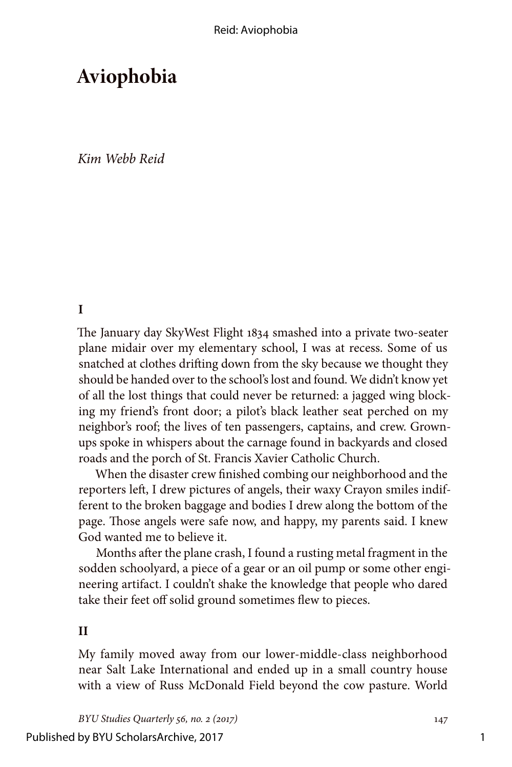# **Aviophobia**

*Kim Webb Reid*

**I**

The January day SkyWest Flight 1834 smashed into a private two-seater plane midair over my elementary school, I was at recess. Some of us snatched at clothes drifting down from the sky because we thought they should be handed over to the school's lost and found. We didn't know yet of all the lost things that could never be returned: a jagged wing blocking my friend's front door; a pilot's black leather seat perched on my neighbor's roof; the lives of ten passengers, captains, and crew. Grownups spoke in whispers about the carnage found in backyards and closed roads and the porch of St. Francis Xavier Catholic Church.

When the disaster crew finished combing our neighborhood and the reporters left, I drew pictures of angels, their waxy Crayon smiles indifferent to the broken baggage and bodies I drew along the bottom of the page. Those angels were safe now, and happy, my parents said. I knew God wanted me to believe it.

Months after the plane crash, I found a rusting metal fragment in the sodden schoolyard, a piece of a gear or an oil pump or some other engineering artifact. I couldn't shake the knowledge that people who dared take their feet off solid ground sometimes flew to pieces.

### **II**

My family moved away from our lower-middle-class neighborhood near Salt Lake International and ended up in a small country house with a view of Russ McDonald Field beyond the cow pasture. World

*BYU Studies Quarterly 56, no. 2 (2017)* 147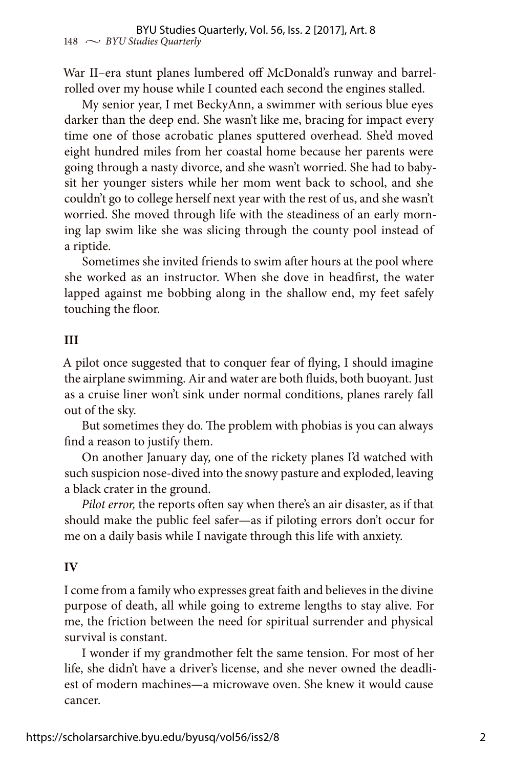War II–era stunt planes lumbered off McDonald's runway and barrelrolled over my house while I counted each second the engines stalled.

My senior year, I met BeckyAnn, a swimmer with serious blue eyes darker than the deep end. She wasn't like me, bracing for impact every time one of those acrobatic planes sputtered overhead. She'd moved eight hundred miles from her coastal home because her parents were going through a nasty divorce, and she wasn't worried. She had to babysit her younger sisters while her mom went back to school, and she couldn't go to college herself next year with the rest of us, and she wasn't worried. She moved through life with the steadiness of an early morning lap swim like she was slicing through the county pool instead of a riptide.

Sometimes she invited friends to swim after hours at the pool where she worked as an instructor. When she dove in headfirst, the water lapped against me bobbing along in the shallow end, my feet safely touching the floor.

### **III**

A pilot once suggested that to conquer fear of flying, I should imagine the airplane swimming. Air and water are both fluids, both buoyant. Just as a cruise liner won't sink under normal conditions, planes rarely fall out of the sky.

But sometimes they do. The problem with phobias is you can always find a reason to justify them.

On another January day, one of the rickety planes I'd watched with such suspicion nose-dived into the snowy pasture and exploded, leaving a black crater in the ground.

*Pilot error,* the reports often say when there's an air disaster, as if that should make the public feel safer—as if piloting errors don't occur for me on a daily basis while I navigate through this life with anxiety.

#### **IV**

I come from a family who expresses great faith and believes in the divine purpose of death, all while going to extreme lengths to stay alive. For me, the friction between the need for spiritual surrender and physical survival is constant.

I wonder if my grandmother felt the same tension. For most of her life, she didn't have a driver's license, and she never owned the deadliest of modern machines—a microwave oven. She knew it would cause cancer.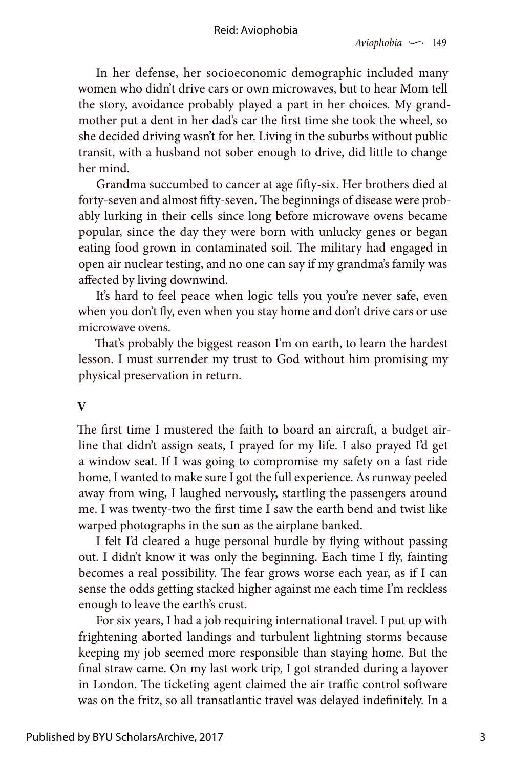In her defense, her socioeconomic demographic included many women who didn't drive cars or own microwaves, but to hear Mom tell the story, avoidance probably played a part in her choices. My grandmother put a dent in her dad's car the first time she took the wheel, so she decided driving wasn't for her. Living in the suburbs without public transit, with a husband not sober enough to drive, did little to change her mind.

Grandma succumbed to cancer at age fifty-six. Her brothers died at forty-seven and almost fifty-seven. The beginnings of disease were probably lurking in their cells since long before microwave ovens became popular, since the day they were born with unlucky genes or began eating food grown in contaminated soil. The military had engaged in open air nuclear testing, and no one can say if my grandma's family was affected by living downwind.

It's hard to feel peace when logic tells you you're never safe, even when you don't fly, even when you stay home and don't drive cars or use microwave ovens.

That's probably the biggest reason I'm on earth, to learn the hardest lesson. I must surrender my trust to God without him promising my physical preservation in return.

#### **V**

The first time I mustered the faith to board an aircraft, a budget airline that didn't assign seats, I prayed for my life. I also prayed I'd get a window seat. If I was going to compromise my safety on a fast ride home, I wanted to make sure I got the full experience. As runway peeled away from wing, I laughed nervously, startling the passengers around me. I was twenty-two the first time I saw the earth bend and twist like warped photographs in the sun as the airplane banked.

I felt I'd cleared a huge personal hurdle by flying without passing out. I didn't know it was only the beginning. Each time I fly, fainting becomes a real possibility. The fear grows worse each year, as if I can sense the odds getting stacked higher against me each time I'm reckless enough to leave the earth's crust.

For six years, I had a job requiring international travel. I put up with frightening aborted landings and turbulent lightning storms because keeping my job seemed more responsible than staying home. But the final straw came. On my last work trip, I got stranded during a layover in London. The ticketing agent claimed the air traffic control software was on the fritz, so all transatlantic travel was delayed indefinitely. In a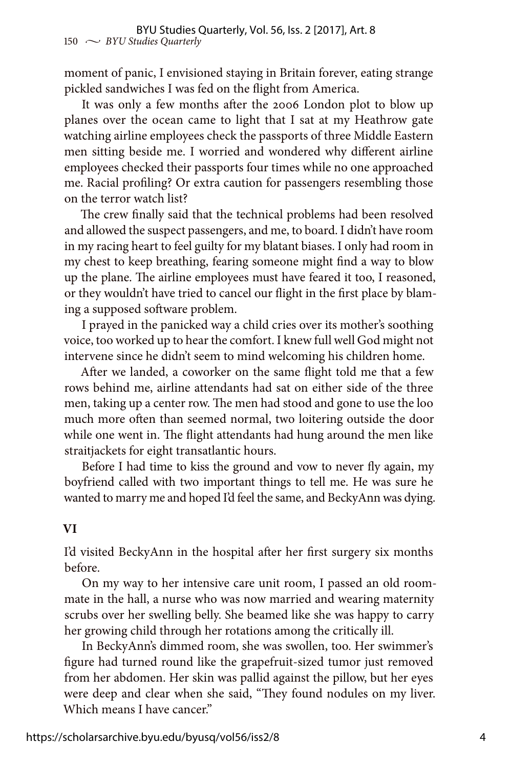moment of panic, I envisioned staying in Britain forever, eating strange pickled sandwiches I was fed on the flight from America.

It was only a few months after the 2006 London plot to blow up planes over the ocean came to light that I sat at my Heathrow gate watching airline employees check the passports of three Middle Eastern men sitting beside me. I worried and wondered why different airline employees checked their passports four times while no one approached me. Racial profiling? Or extra caution for passengers resembling those on the terror watch list?

The crew finally said that the technical problems had been resolved and allowed the suspect passengers, and me, to board. I didn't have room in my racing heart to feel guilty for my blatant biases. I only had room in my chest to keep breathing, fearing someone might find a way to blow up the plane. The airline employees must have feared it too, I reasoned, or they wouldn't have tried to cancel our flight in the first place by blaming a supposed software problem.

I prayed in the panicked way a child cries over its mother's soothing voice, too worked up to hear the comfort. I knew full well God might not intervene since he didn't seem to mind welcoming his children home.

After we landed, a coworker on the same flight told me that a few rows behind me, airline attendants had sat on either side of the three men, taking up a center row. The men had stood and gone to use the loo much more often than seemed normal, two loitering outside the door while one went in. The flight attendants had hung around the men like straitjackets for eight transatlantic hours.

Before I had time to kiss the ground and vow to never fly again, my boyfriend called with two important things to tell me. He was sure he wanted to marry me and hoped I'd feel the same, and BeckyAnn was dying.

#### **VI**

I'd visited BeckyAnn in the hospital after her first surgery six months before.

On my way to her intensive care unit room, I passed an old roommate in the hall, a nurse who was now married and wearing maternity scrubs over her swelling belly. She beamed like she was happy to carry her growing child through her rotations among the critically ill.

In BeckyAnn's dimmed room, she was swollen, too. Her swimmer's figure had turned round like the grapefruit-sized tumor just removed from her abdomen. Her skin was pallid against the pillow, but her eyes were deep and clear when she said, "They found nodules on my liver. Which means I have cancer."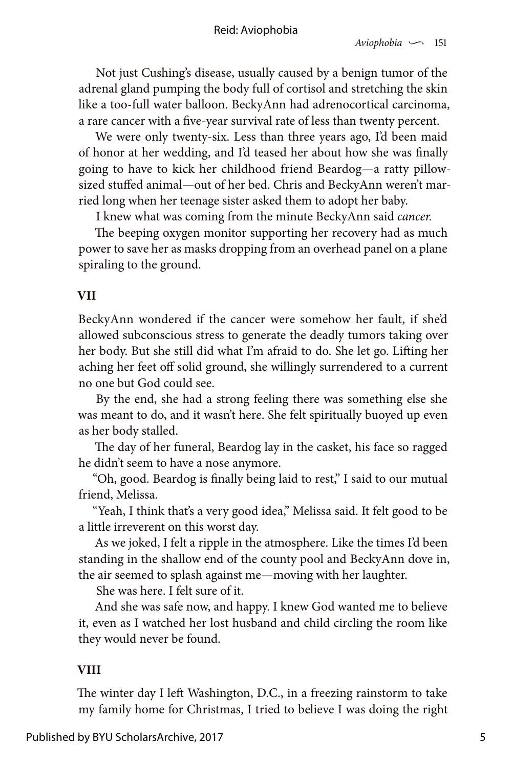Not just Cushing's disease, usually caused by a benign tumor of the adrenal gland pumping the body full of cortisol and stretching the skin like a too-full water balloon. BeckyAnn had adrenocortical carcinoma, a rare cancer with a five-year survival rate of less than twenty percent.

We were only twenty-six. Less than three years ago, I'd been maid of honor at her wedding, and I'd teased her about how she was finally going to have to kick her childhood friend Beardog—a ratty pillowsized stuffed animal—out of her bed. Chris and BeckyAnn weren't married long when her teenage sister asked them to adopt her baby.

I knew what was coming from the minute BeckyAnn said *cancer.*

The beeping oxygen monitor supporting her recovery had as much power to save her as masks dropping from an overhead panel on a plane spiraling to the ground.

# **VII**

BeckyAnn wondered if the cancer were somehow her fault, if she'd allowed subconscious stress to generate the deadly tumors taking over her body. But she still did what I'm afraid to do. She let go. Lifting her aching her feet off solid ground, she willingly surrendered to a current no one but God could see.

By the end, she had a strong feeling there was something else she was meant to do, and it wasn't here. She felt spiritually buoyed up even as her body stalled.

The day of her funeral, Beardog lay in the casket, his face so ragged he didn't seem to have a nose anymore.

"Oh, good. Beardog is finally being laid to rest," I said to our mutual friend, Melissa.

"Yeah, I think that's a very good idea," Melissa said. It felt good to be a little irreverent on this worst day.

As we joked, I felt a ripple in the atmosphere. Like the times I'd been standing in the shallow end of the county pool and BeckyAnn dove in, the air seemed to splash against me—moving with her laughter.

She was here. I felt sure of it.

And she was safe now, and happy. I knew God wanted me to believe it, even as I watched her lost husband and child circling the room like they would never be found.

# **VIII**

The winter day I left Washington, D.C., in a freezing rainstorm to take my family home for Christmas, I tried to believe I was doing the right